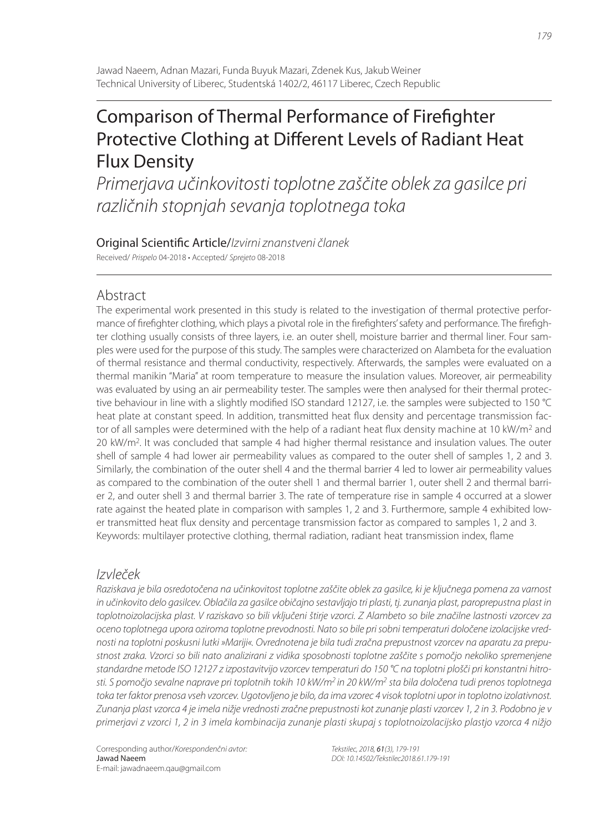# Comparison of Thermal Performance of Firefighter Protective Clothing at Different Levels of Radiant Heat Flux Density

Primerjava učinkovitosti toplotne zaščite oblek za gasilce pri različnih stopnjah sevanja toplotnega toka

Original Scientific Article/Izvirni znanstveni članek Received/ Prispelo 04-2018 • Accepted/ Sprejeto 08-2018

# Abstract

The experimental work presented in this study is related to the investigation of thermal protective performance of firefighter clothing, which plays a pivotal role in the firefighters' safety and performance. The firefighter clothing usually consists of three layers, i.e. an outer shell, moisture barrier and thermal liner. Four samples were used for the purpose of this study. The samples were characterized on Alambeta for the evaluation of thermal resistance and thermal conductivity, respectively. Afterwards, the samples were evaluated on a thermal manikin "Maria" at room temperature to measure the insulation values. Moreover, air permeability was evaluated by using an air permeability tester. The samples were then analysed for their thermal protective behaviour in line with a slightly modified ISO standard 12127, i.e. the samples were subjected to 150 °C heat plate at constant speed. In addition, transmitted heat flux density and percentage transmission factor of all samples were determined with the help of a radiant heat flux density machine at 10 kW/m<sup>2</sup> and 20 kW/m<sup>2</sup>. It was concluded that sample 4 had higher thermal resistance and insulation values. The outer shell of sample 4 had lower air permeability values as compared to the outer shell of samples 1, 2 and 3. Similarly, the combination of the outer shell 4 and the thermal barrier 4 led to lower air permeability values as compared to the combination of the outer shell 1 and thermal barrier 1, outer shell 2 and thermal barrier 2, and outer shell 3 and thermal barrier 3. The rate of temperature rise in sample 4 occurred at a slower rate against the heated plate in comparison with samples 1, 2 and 3. Furthermore, sample 4 exhibited lower transmitted heat flux density and percentage transmission factor as compared to samples 1, 2 and 3. Keywords: multilayer protective clothing, thermal radiation, radiant heat transmission index, flame

# Izvleček

Raziskava je bila osredotočena na učinkovitost toplotne zaščite oblek za gasilce, ki je ključnega pomena za varnost in učinkovito delo gasilcev. Oblačila za gasilce običajno sestavljajo tri plasti, tj. zunanja plast, paroprepustna plast in toplotnoizolacijska plast. V raziskavo so bili vključeni štirje vzorci. Z Alambeto so bile značilne lastnosti vzorcev za oceno toplotnega upora oziroma toplotne prevodnosti. Nato so bile pri sobni temperaturi določene izolacijske vrednosti na toplotni poskusni lutki »Mariji«. Ovrednotena je bila tudi zračna prepustnost vzorcev na aparatu za prepustnost zraka. Vzorci so bili nato analizirani z vidika sposobnosti toplotne zaščite s pomočjo nekoliko spremenjene standardne metode ISO 12127 z izpostavitvijo vzorcev temperaturi do 150 °C na toplotni plošči pri konstantni hitrosti. S pomočjo sevalne naprave pri toplotnih tokih 10 kW/m<sup>2</sup> in 20 kW/m<sup>2</sup> sta bila določena tudi prenos toplotnega toka ter faktor prenosa vseh vzorcev. Ugotovljeno je bilo, da ima vzorec 4 visok toplotni upor in toplotno izolativnost. Zunanja plast vzorca 4 je imela nižje vrednosti zračne prepustnosti kot zunanje plasti vzorcev 1, 2 in 3. Podobno je v primerjavi z vzorci 1, 2 in 3 imela kombinacija zunanje plasti skupaj s toplotnoizolacijsko plastjo vzorca 4 nižjo

Tekstilec, 2018, 61(3), 179-191 DOI: 10.14502/Tekstilec2018.61.179-191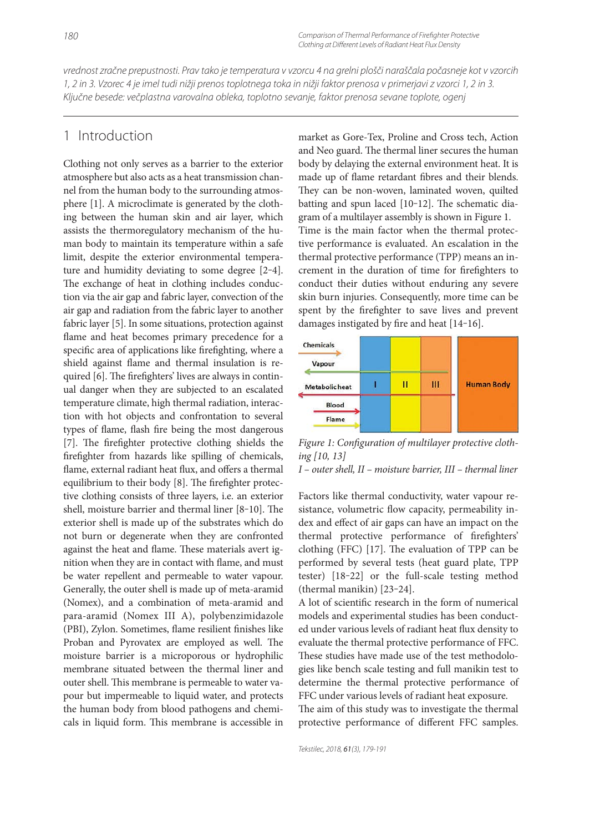vrednost zračne prepustnosti. Prav tako je temperatura v vzorcu 4 na grelni plošči naraščala počasneje kot v vzorcih 1, 2 in 3. Vzorec 4 je imel tudi nižji prenos toplotnega toka in nižji faktor prenosa v primerjavi z vzorci 1, 2 in 3. Ključne besede: večplastna varovalna obleka, toplotno sevanje, faktor prenosa sevane toplote, ogenj

# 1 Introduction

Clothing not only serves as a barrier to the exterior atmosphere but also acts as a heat transmission channel from the human body to the surrounding atmosphere [1]. A microclimate is generated by the clothing between the human skin and air layer, which assists the thermoregulatory mechanism of the human body to maintain its temperature within a safe limit, despite the exterior environmental temperature and humidity deviating to some degree [2-4]. The exchange of heat in clothing includes conduction via the air gap and fabric layer, convection of the air gap and radiation from the fabric layer to another fabric layer [5]. In some situations, protection against flame and heat becomes primary precedence for a specific area of applications like firefighting, where a shield against flame and thermal insulation is required [6]. The firefighters' lives are always in continual danger when they are subjected to an escalated temperature climate, high thermal radiation, interaction with hot objects and confrontation to several types of flame, flash fire being the most dangerous [7]. The firefighter protective clothing shields the firefighter from hazards like spilling of chemicals, flame, external radiant heat flux, and offers a thermal equilibrium to their body [8]. The firefighter protective clothing consists of three layers, i.e. an exterior shell, moisture barrier and thermal liner  $[8-10]$ . The exterior shell is made up of the substrates which do not burn or degenerate when they are confronted against the heat and flame. These materials avert ignition when they are in contact with flame, and must be water repellent and permeable to water vapour. Generally, the outer shell is made up of meta-aramid (Nomex), and a combination of meta-aramid and para-aramid (Nomex III A), polybenzimidazole (PBI), Zylon. Sometimes, flame resilient finishes like Proban and Pyrovatex are employed as well. The moisture barrier is a microporous or hydrophilic membrane situated between the thermal liner and outer shell. This membrane is permeable to water vapour but impermeable to liquid water, and protects the human body from blood pathogens and chemicals in liquid form. This membrane is accessible in market as Gore-Tex, Proline and Cross tech, Action and Neo guard. The thermal liner secures the human body by delaying the external environment heat. It is made up of flame retardant fibres and their blends. They can be non-woven, laminated woven, quilted batting and spun laced [10-12]. The schematic diagram of a multilayer assembly is shown in Figure 1. Time is the main factor when the thermal protective performance is evaluated. An escalation in the thermal protective performance (TPP) means an increment in the duration of time for firefighters to conduct their duties without enduring any severe skin burn injuries. Consequently, more time can be spent by the firefighter to save lives and prevent damages instigated by fire and heat [14-16].



Figure 1: Configuration of multilayer protective cloth*ing [10, 13]*

*I – outer shell, II – moisture barrier, III – thermal liner*

Factors like thermal conductivity, water vapour resistance, volumetric flow capacity, permeability index and effect of air gaps can have an impact on the thermal protective performance of firefighters' clothing (FFC) [17]. The evaluation of TPP can be performed by several tests (heat guard plate, TPP tester) [18‒22] or the full-scale testing method (thermal manikin) [23‒24].

A lot of scientific research in the form of numerical models and experimental studies has been conducted under various levels of radiant heat flux density to evaluate the thermal protective performance of FFC. These studies have made use of the test methodologies like bench scale testing and full manikin test to determine the thermal protective performance of FFC under various levels of radiant heat exposure. The aim of this study was to investigate the thermal protective performance of different FFC samples.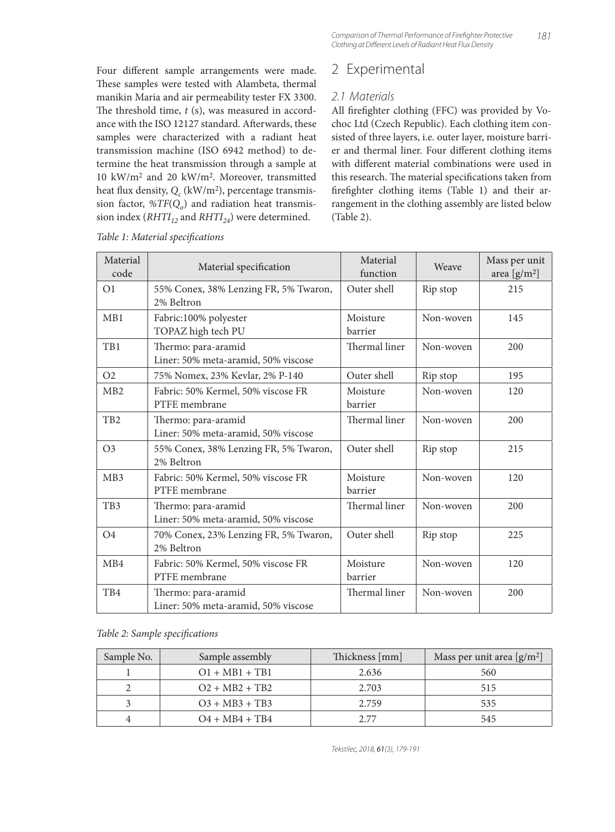All firefighter clothing (FFC) was provided by Vochoc Ltd (Czech Republic). Each clothing item consisted of three layers, i.e. outer layer, moisture barrier and thermal liner. Four different clothing items with different material combinations were used in this research. The material specifications taken from firefighter clothing items (Table 1) and their arrangement in the clothing assembly are listed below

2 Experimental

2.1 Materials

(Table 2).

Four different sample arrangements were made. These samples were tested with Alambeta, thermal manikin Maria and air permeability tester FX 3300. The threshold time, *t* (s), was measured in accordance with the ISO 12127 standard. Afterwards, these samples were characterized with a radiant heat transmission machine (ISO 6942 method) to determine the heat transmission through a sample at 10 kW/m2 and 20 kW/m2. Moreover, transmitted heat flux density,  $Q_c$  (kW/m<sup>2</sup>), percentage transmission factor,  $\mathcal{B}TF(Q_o)$  and radiation heat transmission index  $(RHTI_{12}$  and  $RHTI_{24}$ ) were determined.

| Material<br>code | Material specification                                     | Material<br>function | Weave     | Mass per unit<br>area $[g/m^2]$ |
|------------------|------------------------------------------------------------|----------------------|-----------|---------------------------------|
| O <sub>1</sub>   | 55% Conex, 38% Lenzing FR, 5% Twaron,<br>2% Beltron        | Outer shell          | Rip stop  | 215                             |
| MB1              | Fabric:100% polyester<br>TOPAZ high tech PU                | Moisture<br>barrier  | Non-woven | 145                             |
| T <sub>B1</sub>  | Thermo: para-aramid<br>Liner: 50% meta-aramid, 50% viscose | Thermal liner        | Non-woven | 200                             |
| O <sub>2</sub>   | 75% Nomex, 23% Kevlar, 2% P-140                            | Outer shell          | Rip stop  | 195                             |
| M <sub>B</sub> 2 | Fabric: 50% Kermel, 50% viscose FR<br>PTFE membrane        | Moisture<br>barrier  | Non-woven | 120                             |
| T <sub>B2</sub>  | Thermo: para-aramid<br>Liner: 50% meta-aramid, 50% viscose | Thermal liner        | Non-woven | 200                             |
| O <sub>3</sub>   | 55% Conex, 38% Lenzing FR, 5% Twaron,<br>2% Beltron        | Outer shell          | Rip stop  | 215                             |
| M <sub>B</sub> 3 | Fabric: 50% Kermel, 50% viscose FR<br>PTFE membrane        | Moisture<br>barrier  | Non-woven | 120                             |
| T <sub>B</sub> 3 | Thermo: para-aramid<br>Liner: 50% meta-aramid, 50% viscose | Thermal liner        | Non-woven | 200                             |
| O <sub>4</sub>   | 70% Conex, 23% Lenzing FR, 5% Twaron,<br>2% Beltron        | Outer shell          | Rip stop  | 225                             |
| M <sub>B</sub> 4 | Fabric: 50% Kermel, 50% viscose FR<br>PTFE membrane        | Moisture<br>barrier  | Non-woven | 120                             |
| TB4              | Thermo: para-aramid<br>Liner: 50% meta-aramid, 50% viscose | Thermal liner        | Non-woven | 200                             |

*Table 1: Material specifi cations*

### *Table 2: Sample specifi cations*

| Sample No. | Sample assembly     | Thickness [mm] | Mass per unit area $[g/m^2]$ |
|------------|---------------------|----------------|------------------------------|
|            | $Q1 + MB1 + TB1$    | 2.636          | 560                          |
|            | $Q_2 + MB_2 + TB_2$ | 2.703          | 515                          |
|            | $O3 + MB3 + TB3$    | 2.759          | 535                          |
|            | $O4 + MB4 + TB4$    | 2.77           | 545                          |

Tekstilec, 2018, 61(3), 179-191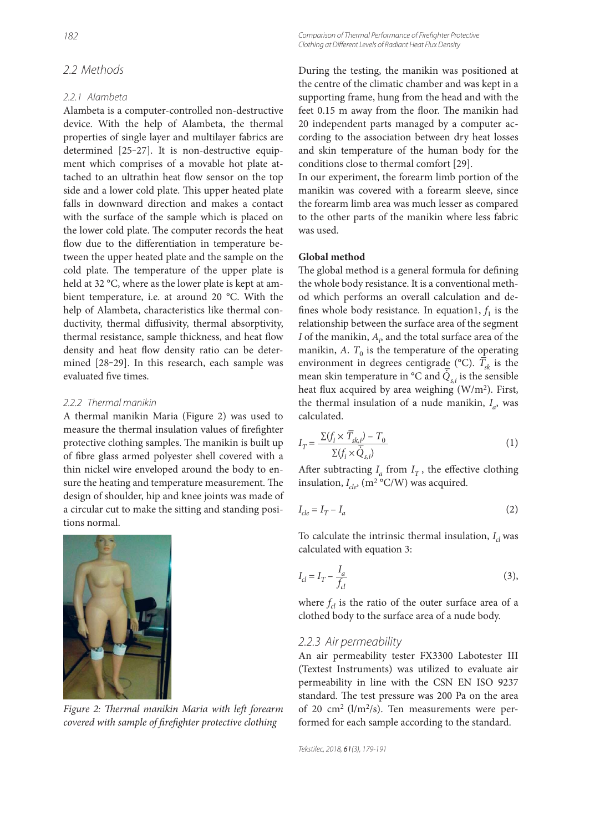# 2.2 Methods

### 2.2.1 Alambeta

Alambeta is a computer-controlled non-destructive device. With the help of Alambeta, the thermal properties of single layer and multilayer fabrics are determined [25-27]. It is non-destructive equipment which comprises of a movable hot plate attached to an ultrathin heat flow sensor on the top side and a lower cold plate. This upper heated plate falls in downward direction and makes a contact with the surface of the sample which is placed on the lower cold plate. The computer records the heat flow due to the differentiation in temperature between the upper heated plate and the sample on the cold plate. The temperature of the upper plate is held at 32 °C, where as the lower plate is kept at ambient temperature, i.e. at around 20 °C. With the help of Alambeta, characteristics like thermal conductivity, thermal diffusivity, thermal absorptivity, thermal resistance, sample thickness, and heat flow density and heat flow density ratio can be determined [28-29]. In this research, each sample was evaluated five times.

### 2.2.2 Thermal manikin

A thermal manikin Maria (Figure 2) was used to measure the thermal insulation values of firefighter protective clothing samples. The manikin is built up of fibre glass armed polyester shell covered with a thin nickel wire enveloped around the body to ensure the heating and temperature measurement. The design of shoulder, hip and knee joints was made of a circular cut to make the sitting and standing positions normal.



Figure 2: Thermal manikin Maria with left forearm *covered with sample of firefighter protective clothing* 

Comparison of Thermal Performance of Firefighter Protective Clothing at Different Levels of Radiant Heat Flux Density

During the testing, the manikin was positioned at the centre of the climatic chamber and was kept in a supporting frame, hung from the head and with the feet 0.15 m away from the floor. The manikin had 20 independent parts managed by a computer according to the association between dry heat losses and skin temperature of the human body for the conditions close to thermal comfort [29].

In our experiment, the forearm limb portion of the manikin was covered with a forearm sleeve, since the forearm limb area was much lesser as compared to the other parts of the manikin where less fabric was used.

## **Global method**

The global method is a general formula for defining the whole body resistance. It is a conventional method which performs an overall calculation and defines whole body resistance. In equation1,  $f_1$  is the relationship between the surface area of the segment *I* of the manikin,  $A_i$ , and the total surface area of the manikin,  $A$ .  $T_0$  is the temperature of the operating environment in degrees centigrade (°C).  $\overline{T}_{sk}$  is the environment in degrees central  $\sum_{i=1}^{\infty}$  (C).  $I_{sk}$  is the sensible heat flux acquired by area weighing  $(W/m<sup>2</sup>)$ . First, the thermal insulation of a nude manikin,  $I_a$ , was calculated.

$$
I_T = \frac{\Sigma(f_i \times \overline{T}_{sk,i}) - T_0}{\Sigma(f_i \times \overline{Q}_{s,i})}
$$
(1)

After subtracting  $I_a$  from  $I_T$ , the effective clothing insulation,  $I_{cle}$ , (m<sup>2</sup> °C/W) was acquired.

$$
I_{cle} = I_T - I_a \tag{2}
$$

To calculate the intrinsic thermal insulation,  $I_{cl}$  was calculated with equation 3:

$$
I_{cl} = I_T - \frac{I_a}{f_{cl}}\tag{3}
$$

where  $f_{cl}$  is the ratio of the outer surface area of a clothed body to the surface area of a nude body.

### 2.2.3 Air permeability

An air permeability tester FX3300 Labotester III (Textest Instruments) was utilized to evaluate air permeability in line with the CSN EN ISO 9237 standard. The test pressure was 200 Pa on the area of 20 cm<sup>2</sup> ( $l/m^2/s$ ). Ten measurements were performed for each sample according to the standard.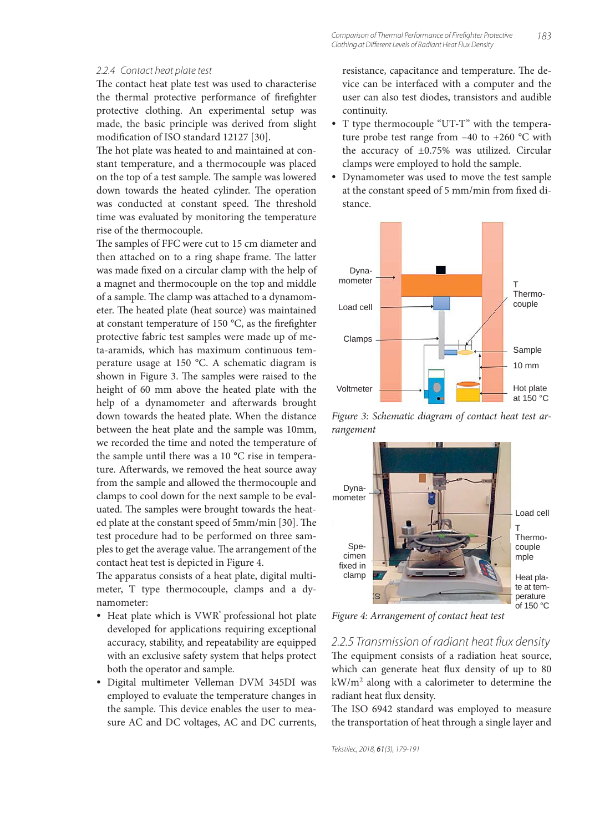#### 2.2.4 Contact heat plate test

The contact heat plate test was used to characterise the thermal protective performance of firefighter protective clothing. An experimental setup was made, the basic principle was derived from slight modification of ISO standard 12127 [30].

The hot plate was heated to and maintained at constant temperature, and a thermocouple was placed on the top of a test sample. The sample was lowered down towards the heated cylinder. The operation was conducted at constant speed. The threshold time was evaluated by monitoring the temperature rise of the thermocouple.

The samples of FFC were cut to 15 cm diameter and then attached on to a ring shape frame. The latter was made fixed on a circular clamp with the help of a magnet and thermocouple on the top and middle of a sample. The clamp was attached to a dynamometer. The heated plate (heat source) was maintained at constant temperature of 150  $^{\circ}$ C, as the firefighter protective fabric test samples were made up of meta-aramids, which has maximum continuous temperature usage at 150 °C. A schematic diagram is shown in Figure 3. The samples were raised to the height of 60 mm above the heated plate with the help of a dynamometer and afterwards brought down towards the heated plate. When the distance between the heat plate and the sample was 10mm, we recorded the time and noted the temperature of the sample until there was a 10 °C rise in temperature. Afterwards, we removed the heat source away from the sample and allowed the thermocouple and clamps to cool down for the next sample to be evaluated. The samples were brought towards the heated plate at the constant speed of 5mm/min [30]. The test procedure had to be performed on three samples to get the average value. The arrangement of the contact heat test is depicted in Figure 4.

The apparatus consists of a heat plate, digital multimeter, T type thermocouple, clamps and a dynamometer:

- Heat plate which is VWR<sup>®</sup> professional hot plate developed for applications requiring exceptional accuracy, stability, and repeatability are equipped with an exclusive safety system that helps protect both the operator and sample.
- Digital multimeter Velleman DVM 345DI was employed to evaluate the temperature changes in the sample. This device enables the user to measure AC and DC voltages, AC and DC currents,

resistance, capacitance and temperature. The device can be interfaced with a computer and the user can also test diodes, transistors and audible continuity.

- T type thermocouple "UT-T" with the temperature probe test range from  $-40$  to  $+260$  °C with the accuracy of  $\pm 0.75$ % was utilized. Circular clamps were employed to hold the sample.
- Dynamometer was used to move the test sample at the constant speed of 5 mm/min from fixed distance.



*Figure 3: Schematic diagram of contact heat test arrangement*



*Figure 4: Arrangement of contact heat test*

2.2.5 Transmission of radiant heat flux density The equipment consists of a radiation heat source, which can generate heat flux density of up to 80 kW/m2 along with a calorimeter to determine the radiant heat flux density.

The ISO 6942 standard was employed to measure the transportation of heat through a single layer and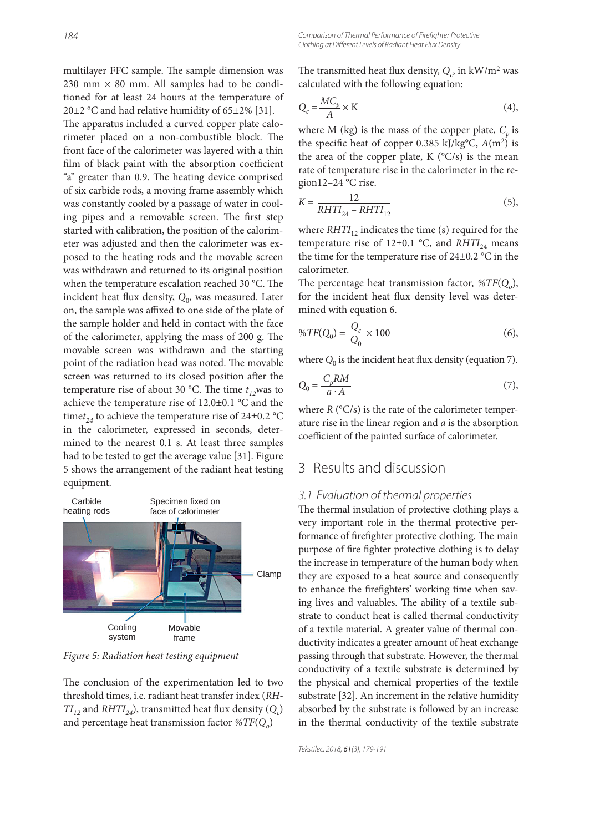multilayer FFC sample. The sample dimension was 230 mm  $\times$  80 mm. All samples had to be conditioned for at least 24 hours at the temperature of 20 $\pm$ 2 °C and had relative humidity of 65 $\pm$ 2% [31]. The apparatus included a curved copper plate calo-

rimeter placed on a non-combustible block. The front face of the calorimeter was layered with a thin film of black paint with the absorption coefficient "a" greater than 0.9. The heating device comprised of six carbide rods, a moving frame assembly which was constantly cooled by a passage of water in cooling pipes and a removable screen. The first step started with calibration, the position of the calorimeter was adjusted and then the calorimeter was exposed to the heating rods and the movable screen was withdrawn and returned to its original position when the temperature escalation reached 30 °C. The incident heat flux density, Q<sub>0</sub>, was measured. Later on, the sample was affixed to one side of the plate of the sample holder and held in contact with the face of the calorimeter, applying the mass of 200 g. The movable screen was withdrawn and the starting point of the radiation head was noted. The movable screen was returned to its closed position after the temperature rise of about 30 °C. The time  $t_{12}$ was to achieve the temperature rise of 12.0±0.1 °C and the time $t_{24}$  to achieve the temperature rise of 24 $\pm$ 0.2 °C in the calorimeter, expressed in seconds, determined to the nearest 0.1 s. At least three samples had to be tested to get the average value [31]. Figure 5 shows the arrangement of the radiant heat testing equipment.



*Figure 5: Radiation heat testing equipment*

The conclusion of the experimentation led to two threshold times, i.e. radiant heat transfer index (*RH-* $TI_{12}$  and  $RHTI_{24}$ ), transmitted heat flux density  $(Q_c)$ and percentage heat transmission factor *%TF*(*Qo*)

The transmitted heat flux density,  $Q_c$ , in  $\frac{kW}{m^2}$  was calculated with the following equation:

$$
Q_c = \frac{MC_p}{A} \times K \tag{4}
$$

where M (kg) is the mass of the copper plate,  $C_p$  is the specific heat of copper 0.385 kJ/kg°C,  $A(m^2)$  is the area of the copper plate, K  $(^{\circ}C/s)$  is the mean rate of temperature rise in the calorimeter in the region12–24 °C rise.

$$
K = \frac{12}{RHTI_{24} - RHTI_{12}}
$$
 (5),

where  $RHTI<sub>12</sub>$  indicates the time (s) required for the temperature rise of  $12\pm0.1$  °C, and  $RHTI_{24}$  means the time for the temperature rise of 24±0.2 °C in the calorimeter.

The percentage heat transmission factor,  $\mathcal{C}TF(Q_0)$ , for the incident heat flux density level was determined with equation 6.

$$
\%TF(Q_0) = \frac{Q_c}{Q_0} \times 100\tag{6}
$$

where  $Q_0$  is the incident heat flux density (equation 7).

$$
Q_0 = \frac{C_p RM}{a \cdot A} \tag{7}
$$

where  $R$  ( $\degree$ C/s) is the rate of the calorimeter temperature rise in the linear region and *a* is the absorption coefficient of the painted surface of calorimeter.

# 3 Results and discussion

### 3.1 Evaluation of thermal properties

The thermal insulation of protective clothing plays a very important role in the thermal protective performance of firefighter protective clothing. The main purpose of fire fighter protective clothing is to delay the increase in temperature of the human body when they are exposed to a heat source and consequently to enhance the firefighters' working time when saving lives and valuables. The ability of a textile substrate to conduct heat is called thermal conductivity of a textile material. A greater value of thermal conductivity indicates a greater amount of heat exchange passing through that substrate. However, the thermal conductivity of a textile substrate is determined by the physical and chemical properties of the textile substrate [32]. An increment in the relative humidity absorbed by the substrate is followed by an increase in the thermal conductivity of the textile substrate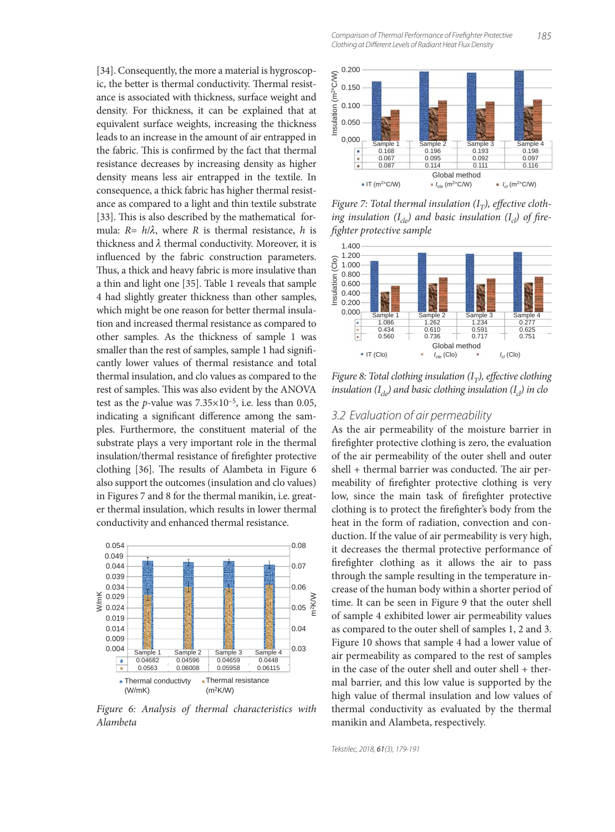[34]. Consequently, the more a material is hygroscopic, the better is thermal conductivity. Thermal resistance is associated with thickness, surface weight and density. For thickness, it can be explained that at equivalent surface weights, increasing the thickness leads to an increase in the amount of air entrapped in the fabric. This is confirmed by the fact that thermal resistance decreases by increasing density as higher density means less air entrapped in the textile. In consequence, a thick fabric has higher thermal resistance as compared to a light and thin textile substrate [33]. This is also described by the mathematical formula: *R*= *h*/λ, where *R* is thermal resistance, *h* is thickness and  $\lambda$  thermal conductivity. Moreover, it is influenced by the fabric construction parameters. Thus, a thick and heavy fabric is more insulative than a thin and light one [35]. Table 1 reveals that sample 4 had slightly greater thickness than other samples, which might be one reason for better thermal insulation and increased thermal resistance as compared to other samples. As the thickness of sample 1 was smaller than the rest of samples, sample 1 had significantly lower values of thermal resistance and total thermal insulation, and clo values as compared to the rest of samples. This was also evident by the ANOVA test as the *p*-value was  $7.35 \times 10^{-5}$ , i.e. less than 0.05, indicating a significant difference among the samples. Furthermore, the constituent material of the substrate plays a very important role in the thermal insulation/thermal resistance of firefighter protective clothing  $[36]$ . The results of Alambeta in Figure 6 also support the outcomes (insulation and clo values) in Figures 7 and 8 for the thermal manikin, i.e. greater thermal insulation, which results in lower thermal conductivity and enhanced thermal resistance.



*Figure 6: Analysis of thermal characteristics with Alambeta*

185 Comparison of Thermal Performance of Firefighter Protective Clothing at Different Levels of Radiant Heat Flux Density



*Figure 7: Total thermal insulation*  $(I_T)$ *, effective cloth*ing insulation  $(I_{cle})$  and basic insulation  $(I_{cl})$  of fire*fi ghter protective sample*



*Figure 8: Total clothing insulation (I<sub>T</sub>), effective clothing insulation*  $(I_{c|o})$  and basic clothing insulation  $(I_{c})$  in clo

# 3.2 Evaluation of air permeability

As the air permeability of the moisture barrier in firefighter protective clothing is zero, the evaluation of the air permeability of the outer shell and outer shell + thermal barrier was conducted. The air permeability of firefighter protective clothing is very low, since the main task of firefighter protective clothing is to protect the firefighter's body from the heat in the form of radiation, convection and conduction. If the value of air permeability is very high, it decreases the thermal protective performance of firefighter clothing as it allows the air to pass through the sample resulting in the temperature increase of the human body within a shorter period of time. It can be seen in Figure 9 that the outer shell of sample 4 exhibited lower air permeability values as compared to the outer shell of samples 1, 2 and 3. Figure 10 shows that sample 4 had a lower value of air permeability as compared to the rest of samples in the case of the outer shell and outer shell + thermal barrier, and this low value is supported by the high value of thermal insulation and low values of thermal conductivity as evaluated by the thermal manikin and Alambeta, respectively.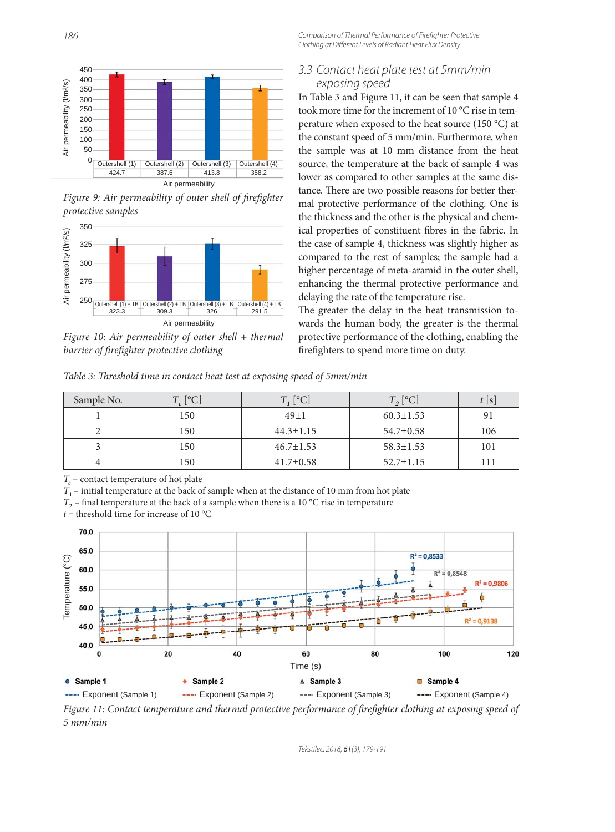Comparison of Thermal Performance of Firefighter Protective Clothing at Different Levels of Radiant Heat Flux Density



*Figure 9: Air permeability of outer shell of firefighter protective samples*



*Figure 10: Air permeability of outer shell + thermal barrier of firefighter protective clothing* 

# 3.3 Contact heat plate test at 5mm/min exposing speed

In Table 3 and Figure 11, it can be seen that sample 4 took more time for the increment of 10 °C rise in temperature when exposed to the heat source (150 °C) at the constant speed of 5 mm/min. Furthermore, when the sample was at 10 mm distance from the heat source, the temperature at the back of sample 4 was lower as compared to other samples at the same distance. There are two possible reasons for better thermal protective performance of the clothing. One is the thickness and the other is the physical and chemical properties of constituent fibres in the fabric. In the case of sample 4, thickness was slightly higher as compared to the rest of samples; the sample had a higher percentage of meta-aramid in the outer shell, enhancing the thermal protective performance and delaying the rate of the temperature rise.

The greater the delay in the heat transmission towards the human body, the greater is the thermal protective performance of the clothing, enabling the firefighters to spend more time on duty.

*Table 3: Th reshold time in contact heat test at exposing speed of 5mm/min*

| Sample No. | $T_c$ [°C] | $T, [^{\circ}C]$ | $T$ , [°C]      | $\frac{1}{2}$ S |
|------------|------------|------------------|-----------------|-----------------|
|            | 150        | $49+1$           | $60.3 \pm 1.53$ |                 |
|            | 150        | $44.3 \pm 1.15$  | $54.7 \pm 0.58$ | 106             |
|            | 150        | $46.7 \pm 1.53$  | $58.3 \pm 1.53$ | 101             |
|            | l 50       | $41.7 \pm 0.58$  | $52.7 \pm 1.15$ |                 |

*T<sub>c</sub>* – contact temperature of hot plate

 $T_1$  – initial temperature at the back of sample when at the distance of 10 mm from hot plate

 $T_2$  – final temperature at the back of a sample when there is a 10 °C rise in temperature

*t* – threshold time for increase of 10 °C



*Figure 11: Contact temperature and thermal protective performance of firefighter clothing at exposing speed of 5 mm/min*

Tekstilec, 2018, 61(3), 179-191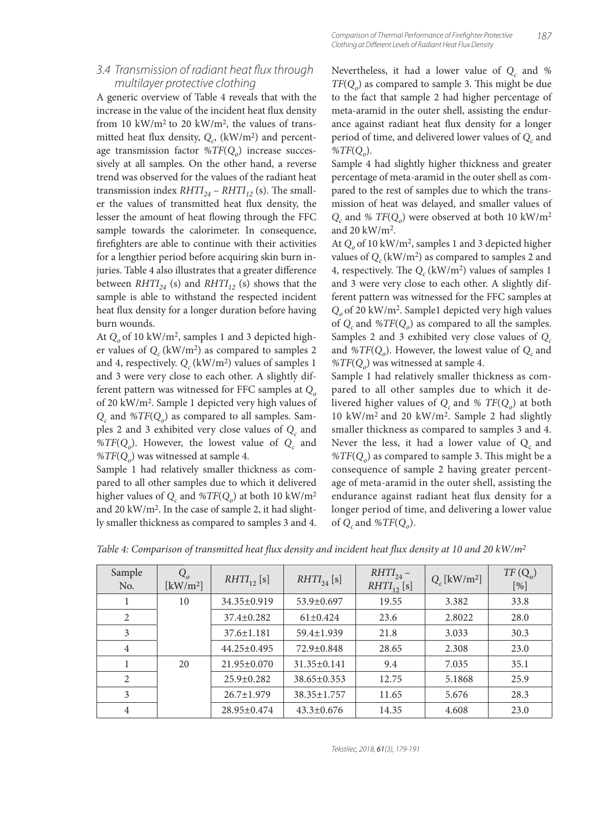# 3.4 Transmission of radiant heat flux through multilayer protective clothing

A generic overview of Table 4 reveals that with the increase in the value of the incident heat flux density from 10 kW/m<sup>2</sup> to 20 kW/m<sup>2</sup>, the values of transmitted heat flux density,  $Q_c$ ,  $(kW/m^2)$  and percentage transmission factor %TF( $Q_o$ ) increase successively at all samples. On the other hand, a reverse trend was observed for the values of the radiant heat transmission index  $RHTI_{24}$  –  $RHTI_{12}$  (s). The smaller the values of transmitted heat flux density, the lesser the amount of heat flowing through the FFC sample towards the calorimeter. In consequence, firefighters are able to continue with their activities for a lengthier period before acquiring skin burn injuries. Table 4 also illustrates that a greater difference between  $RHTI_{24}$  (s) and  $RHTI_{12}$  (s) shows that the sample is able to withstand the respected incident heat flux density for a longer duration before having burn wounds.

At Q<sub>o</sub> of 10 kW/m<sup>2</sup>, samples 1 and 3 depicted higher values of  $Q_c$  (kW/m<sup>2</sup>) as compared to samples 2 and 4, respectively.  $Q_c$  (kW/m<sup>2</sup>) values of samples 1 and 3 were very close to each other. A slightly different pattern was witnessed for FFC samples at *Q*<sub>o</sub> of 20 kW/m2. Sample 1 depicted very high values of *Qc* and *%TF*(*Qo*) as compared to all samples. Samples 2 and 3 exhibited very close values of  $Q_c$  and % $TF(Q<sub>o</sub>)$ . However, the lowest value of  $Q<sub>c</sub>$  and %*TF*(*Q<sub>o</sub>*) was witnessed at sample 4.

Sample 1 had relatively smaller thickness as compared to all other samples due to which it delivered higher values of  $Q_c$  and  $\%TF(Q_o)$  at both 10 kW/m<sup>2</sup> and 20 kW/m2. In the case of sample 2, it had slightly smaller thickness as compared to samples 3 and 4.

Nevertheless, it had a lower value of  $Q_c$  and %  $TF(Q<sub>o</sub>)$  as compared to sample 3. This might be due to the fact that sample 2 had higher percentage of meta-aramid in the outer shell, assisting the endurance against radiant heat flux density for a longer period of time, and delivered lower values of  $Q_c$  and *%TF*(*Qo*).

Sample 4 had slightly higher thickness and greater percentage of meta-aramid in the outer shell as compared to the rest of samples due to which the transmission of heat was delayed, and smaller values of  $Q_c$  and % *TF*( $Q_o$ ) were observed at both 10 kW/m<sup>2</sup> and 20 kW/m2.

At Q<sub>o</sub> of 10 kW/m<sup>2</sup>, samples 1 and 3 depicted higher values of  $Q_c$  (kW/m<sup>2</sup>) as compared to samples 2 and 4, respectively. The  $Q_c$  (kW/m<sup>2</sup>) values of samples 1 and 3 were very close to each other. A slightly different pattern was witnessed for the FFC samples at *Qo* of 20 kW/m2. Sample1 depicted very high values of  $Q_c$  and  $\mathcal{W}$ *TF*( $Q_o$ ) as compared to all the samples. Samples 2 and 3 exhibited very close values of  $Q_c$ and  $\%TF(Q_o)$ . However, the lowest value of  $Q_c$  and %*TF*(*Q<sub>o</sub>*) was witnessed at sample 4.

Sample 1 had relatively smaller thickness as compared to all other samples due to which it delivered higher values of  $Q_c$  and %  $TF(Q_o)$  at both 10 kW/m2 and 20 kW/m2. Sample 2 had slightly smaller thickness as compared to samples 3 and 4. Never the less, it had a lower value of  $Q_c$  and  $\%TF(Q_0)$  as compared to sample 3. This might be a consequence of sample 2 having greater percentage of meta-aramid in the outer shell, assisting the endurance against radiant heat flux density for a longer period of time, and delivering a lower value of *Qc* and *%TF*(*Qo*).

| Sample<br>No.  | $Q_o$<br>$\left[\mathrm{kW/m^2}\right]$ | $RHTI_{12}$ [s]   | $RHTI_{24}$ [s]   | $RHTI_{24}$ –<br>$RHTI_{12}$ [s] | $Q_c$ [kW/m <sup>2</sup> ] | $TF(Q_0)$<br>[%] |
|----------------|-----------------------------------------|-------------------|-------------------|----------------------------------|----------------------------|------------------|
|                | 10                                      | $34.35 \pm 0.919$ | 53.9±0.697        | 19.55                            | 3.382                      | 33.8             |
| 2              |                                         | $37.4 \pm 0.282$  | $61\pm0.424$      | 23.6                             | 2.8022                     | 28.0             |
| 3              |                                         | $37.6 \pm 1.181$  | 59.4±1.939        | 21.8                             | 3.033                      | 30.3             |
| $\overline{4}$ |                                         | $44.25 \pm 0.495$ | 72.9±0.848        | 28.65                            | 2.308                      | 23.0             |
|                | 20                                      | $21.95 \pm 0.070$ | $31.35 \pm 0.141$ | 9.4                              | 7.035                      | 35.1             |
| 2              |                                         | $25.9 \pm 0.282$  | $38.65 \pm 0.353$ | 12.75                            | 5.1868                     | 25.9             |
| 3              |                                         | $26.7 \pm 1.979$  | $38.35 \pm 1.757$ | 11.65                            | 5.676                      | 28.3             |
| $\overline{4}$ |                                         | 28.95±0.474       | $43.3 \pm 0.676$  | 14.35                            | 4.608                      | 23.0             |

*Table 4: Comparison of transmitted heat flux density and incident heat flux density at 10 and 20 kW/m<sup>2</sup>*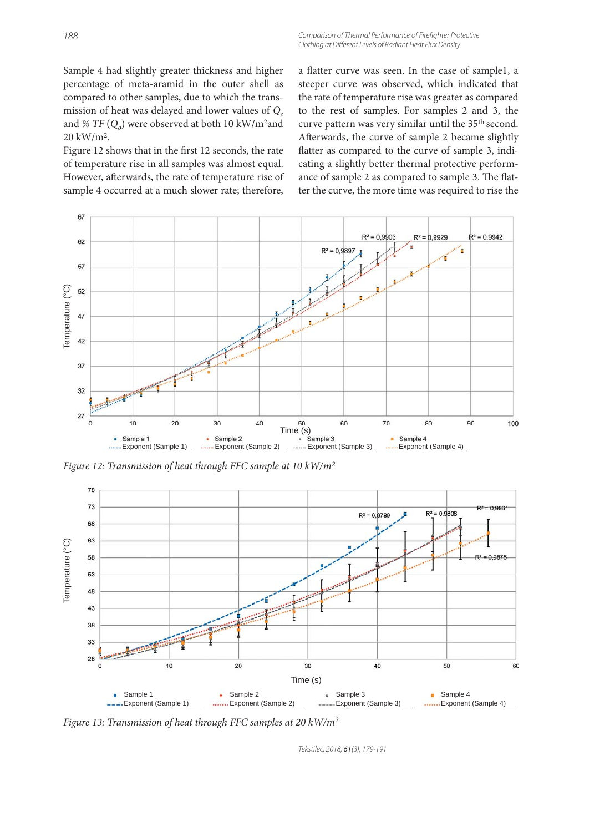Sample 4 had slightly greater thickness and higher percentage of meta-aramid in the outer shell as compared to other samples, due to which the transmission of heat was delayed and lower values of  $Q_c$ and %  $TF(Q<sub>o</sub>)$  were observed at both 10 kW/m<sup>2</sup>and 20 kW/m2.

Figure 12 shows that in the first 12 seconds, the rate of temperature rise in all samples was almost equal. However, afterwards, the rate of temperature rise of sample 4 occurred at a much slower rate; therefore, a flatter curve was seen. In the case of sample1, a steeper curve was observed, which indicated that the rate of temperature rise was greater as compared to the rest of samples. For samples 2 and 3, the curve pattern was very similar until the 35<sup>th</sup> second. Afterwards, the curve of sample 2 became slightly flatter as compared to the curve of sample 3, indicating a slightly better thermal protective performance of sample 2 as compared to sample 3. The flatter the curve, the more time was required to rise the



*Figure 12: Transmission of heat through FFC sample at 10 kW/m2*



*Figure 13: Transmission of heat through FFC samples at 20 kW/m2*

Tekstilec, 2018, 61(3), 179-191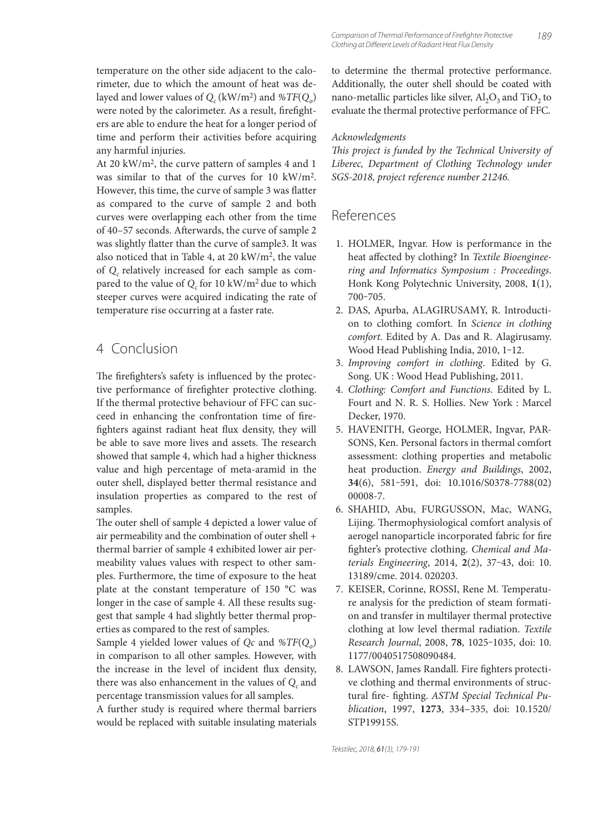temperature on the other side adjacent to the calorimeter, due to which the amount of heat was delayed and lower values of  $Q_c$  (kW/m<sup>2</sup>) and  $\%TF(Q_o)$ were noted by the calorimeter. As a result, firefighters are able to endure the heat for a longer period of time and perform their activities before acquiring any harmful injuries.

At 20 kW/m2, the curve pattern of samples 4 and 1 was similar to that of the curves for 10 kW/m2. However, this time, the curve of sample 3 was flatter as compared to the curve of sample 2 and both curves were overlapping each other from the time of 40-57 seconds. Afterwards, the curve of sample 2 was slightly flatter than the curve of sample3. It was also noticed that in Table 4, at 20 kW/m2, the value of *Q<sub>c</sub>* relatively increased for each sample as compared to the value of  $Q_c$  for 10 kW/m<sup>2</sup> due to which steeper curves were acquired indicating the rate of temperature rise occurring at a faster rate.

# 4 Conclusion

The firefighters's safety is influenced by the protective performance of firefighter protective clothing. If the thermal protective behaviour of FFC can succeed in enhancing the confrontation time of firefighters against radiant heat flux density, they will be able to save more lives and assets. The research showed that sample 4, which had a higher thickness value and high percentage of meta-aramid in the outer shell, displayed better thermal resistance and insulation properties as compared to the rest of samples.

The outer shell of sample 4 depicted a lower value of air permeability and the combination of outer shell + thermal barrier of sample 4 exhibited lower air permeability values values with respect to other samples. Furthermore, the time of exposure to the heat plate at the constant temperature of 150 °C was longer in the case of sample 4. All these results suggest that sample 4 had slightly better thermal properties as compared to the rest of samples.

Sample 4 yielded lower values of *Qc* and *%TF*(*Qo*) in comparison to all other samples. However, with the increase in the level of incident flux density, there was also enhancement in the values of  $Q_c$  and percentage transmission values for all samples.

A further study is required where thermal barriers would be replaced with suitable insulating materials to determine the thermal protective performance. Additionally, the outer shell should be coated with nano-metallic particles like silver,  $Al_2O_3$  and TiO<sub>2</sub> to evaluate the thermal protective performance of FFC.

### *Acknowledgments*

This project is funded by the Technical University of *Liberec, Department of Clothing Technology under SGS-2018, project reference number 21246.*

# References

- 1. HOLMER, Ingvar. How is performance in the heat affected by clothing? In *Textile Bioengineering and Informatics Symposium : Proceedings*. Honk Kong Polytechnic University, 2008, **1**(1), 700‒705.
- 2. DAS, Apurba, ALAGIRUSAMY, R. Introduction to clothing comfort. In *Science in clothing comfort*. Edited by A. Das and R. Alagirusamy. Wood Head Publishing India, 2010, 1-12.
- 3. *Improving comfort in clothing*. Edited by G. Song. UK : Wood Head Publishing, 2011.
- 4. *Clothing: Comfort and Functions*. Edited by L. Fourt and N. R. S. Hollies. New York : Marcel Decker, 1970.
- 5. HAVENITH, George, HOLMER, Ingvar, PAR-SONS, Ken. Personal factors in thermal comfort assessment: clothing properties and metabolic heat production. *Energy and Buildings*, 2002, **34**(6), 581‒591, doi: 10.1016/S0378-7788(02) 00008-7.
- 6. SHAHID, Abu, FURGUSSON, Mac, WANG, Lijing. Thermophysiological comfort analysis of aerogel nanoparticle incorporated fabric for fire fighter's protective clothing. *Chemical and Materials Engineering*, 2014, **2**(2), 37‒43, doi: 10. 13189/cme. 2014. 020203.
- 7. KEISER, Corinne, ROSSI, Rene M. Temperature analysis for the prediction of steam formation and transfer in multilayer thermal protective clothing at low level thermal radiation. *Textile Research Journal*, 2008, **78**, 1025‒1035, doi: 10. 1177/0040517508090484.
- 8. LAWSON, James Randall. Fire fighters protective clothing and thermal environments of structural fire- fighting. ASTM Special Technical Pu*blication*, 1997, **1273**, 334–335, doi: 10.1520/ STP19915S.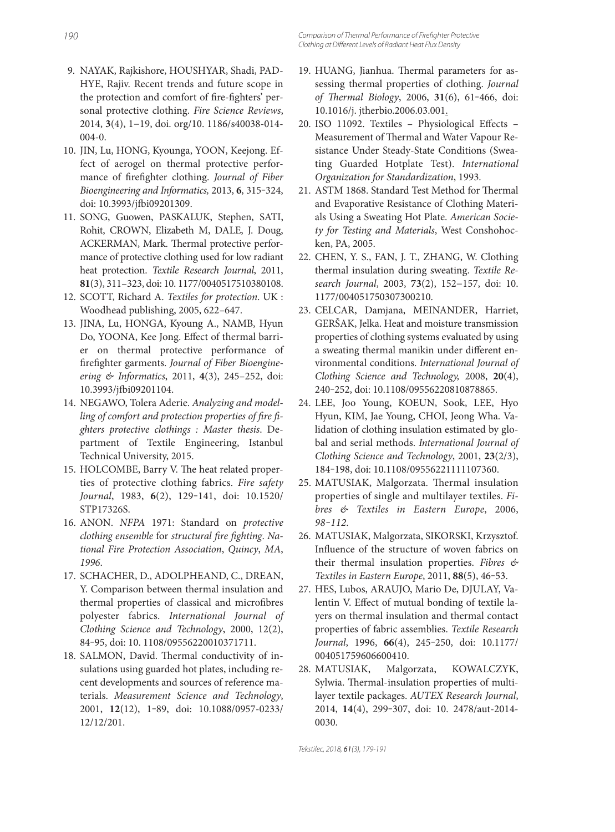- 9. NAYAK, Rajkishore, HOUSHYAR, Shadi, PAD-HYE, Rajiv. Recent trends and future scope in the protection and comfort of fire-fighters' personal protective clothing. *Fire Science Reviews*, 2014, **3**(4), 1−19, doi. org/10. 1186/s40038-014-  $004-0.$
- 10. JIN, Lu, HONG, Kyounga, YOON, Keejong. Effect of aerogel on thermal protective performance of firefighter clothing. *Journal of Fiber Bioengineering and Informatics,* 2013, **6**, 315‒324, doi: 10.3993/jfbi09201309.
- 11. SONG, Guowen, PASKALUK, Stephen, SATI, Rohit, CROWN, Elizabeth M, DALE, J. Doug, ACKERMAN, Mark. Thermal protective performance of protective clothing used for low radiant heat protection. *Textile Research Journal*, 2011, **81**(3), 311–323, doi: 10. 1177/0040517510380108.
- 12. SCOTT, Richard A. *Textiles for protection*. UK : Woodhead publishing, 2005, 622–647.
- 13. JINA, Lu, HONGA, Kyoung A., NAMB, Hyun Do, YOONA, Kee Jong. Effect of thermal barrier on thermal protective performance of fi refighter garments. *Journal of Fiber Bioengineering & Informatics*, 2011, **4**(3), 245–252, doi: 10.3993/jfbi09201104.
- 14. NEGAWO, Tolera Aderie. *Analyzing and model*ling of comfort and protection properties of fire fi*ghters protective clothings : Master thesis*. Department of Textile Engineering, Istanbul Technical University, 2015.
- 15. HOLCOMBE, Barry V. The heat related properties of protective clothing fabrics. *Fire safety Journal*, 1983, **6**(2), 129‒141, doi: 10.1520/ STP17326S.
- 16. ANON. *NFPA* 1971: Standard on *protective*  clothing ensemble for structural fire fighting. Na*tional Fire Protection Association*, *Quincy*, *MA*, *1996*.
- 17. SCHACHER, D., ADOLPHEAND, C., DREAN, Y. Comparison between thermal insulation and thermal properties of classical and microfibres polyester fabrics. *International Journal of Clothing Science and Technology*, 2000, 12(2), 84‒95, doi: 10. 1108/09556220010371711.
- 18. SALMON, David. Thermal conductivity of insulations using guarded hot plates, including recent developments and sources of reference materials. *Measurement Science and Technology*, 2001, **12**(12), 1‒89, doi: 10.1088/0957-0233/ 12/12/201.
- 19. HUANG, Jianhua. Thermal parameters for assessing thermal properties of clothing. *Journal of Th ermal Biology*, 2006, **31**(6), 61‒466, doi: 10.1016/j. jtherbio.2006.03.001.
- 20. ISO 11092. Textiles Physiological Effects -Measurement of Thermal and Water Vapour Resistance Under Steady-State Conditions (Sweating Guarded Hotplate Test). *International Organization for Standardization*, 1993.
- 21. ASTM 1868. Standard Test Method for Thermal and Evaporative Resistance of Clothing Materials Using a Sweating Hot Plate. *American Society for Testing and Materials*, West Conshohocken, PA, 2005.
- 22. CHEN, Y. S., FAN, J. T., ZHANG, W. Clothing thermal insulation during sweating. *Textile Research Journal*, 2003, **73**(2), 152−157, doi: 10. 1177/004051750307300210.
- 23. CELCAR, Damjana, MEINANDER, Harriet, GERŠAK, Jelka. Heat and moisture transmission properties of clothing systems evaluated by using a sweating thermal manikin under different environmental conditions. *International Journal of Clothing Science and Technology,* 2008, **20**(4), 240‒252, doi: 10.1108/09556220810878865.
- 24. LEE, Joo Young, KOEUN, Sook, LEE, Hyo Hyun, KIM, Jae Young, CHOI, Jeong Wha. Validation of clothing insulation estimated by global and serial methods. *International Journal of Clothing Science and Technology*, 2001, **23**(2/3), 184‒198, doi: 10.1108/09556221111107360.
- 25. MATUSIAK, Malgorzata. Thermal insulation properties of single and multilayer textiles. *Fibres & Textiles in Eastern Europe*, 2006, *98‒112*.
- 26. MATUSIAK, Malgorzata, SIKORSKI, Krzysztof. Influence of the structure of woven fabrics on their thermal insulation properties. *Fibres & Textiles in Eastern Europe*, 2011, **88**(5), 46‒53.
- 27. HES, Lubos, ARAUJO, Mario De, DJULAY, Valentin V. Effect of mutual bonding of textile layers on thermal insulation and thermal contact properties of fabric assemblies. *Textile Research Journal*, 1996, **66**(4), 245‒250, doi: 10.1177/ 004051759606600410.
- 28. MATUSIAK, Malgorzata, KOWALCZYK, Sylwia. Thermal-insulation properties of multilayer textile packages. *AUTEX Research Journal*, 2014, **14**(4), 299‒307, doi: 10. 2478/aut-2014- 0030.